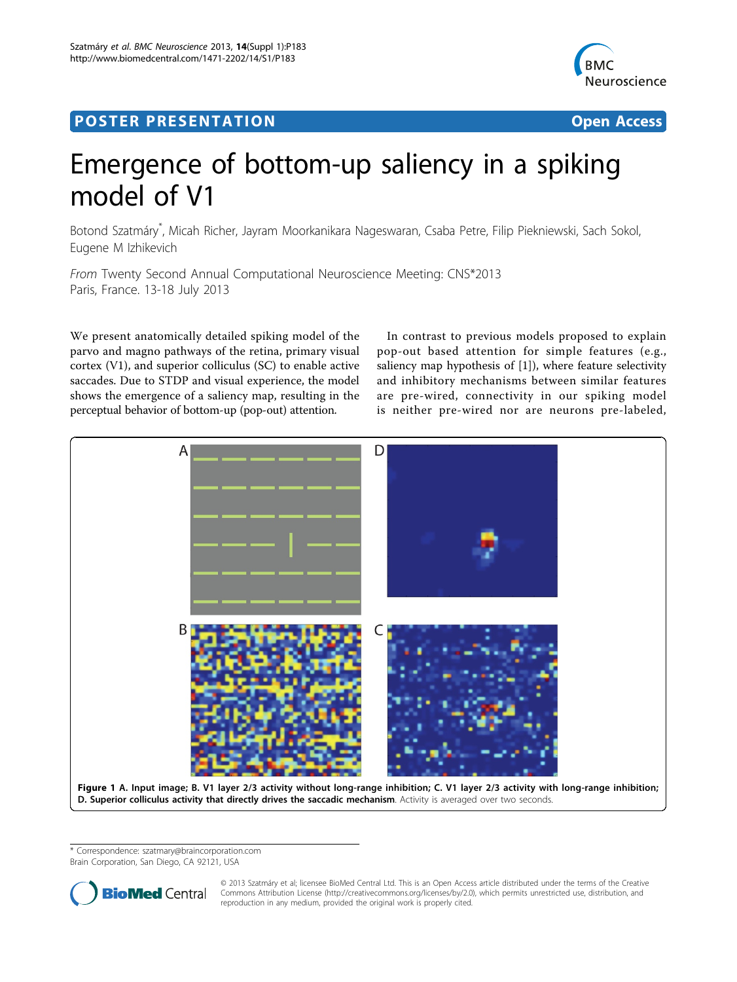# Post Experimental Police in the St English Police in the St English Police in the St English Police in the St<br>Police in the St English Police in the St English Police in the St English Police in the St English Police in



## Emergence of bottom-up saliency in a spiking model of V1

Botond Szatmáry\* , Micah Richer, Jayram Moorkanikara Nageswaran, Csaba Petre, Filip Piekniewski, Sach Sokol, Eugene M Izhikevich

From Twenty Second Annual Computational Neuroscience Meeting: CNS\*2013 Paris, France. 13-18 July 2013

We present anatomically detailed spiking model of the parvo and magno pathways of the retina, primary visual cortex (V1), and superior colliculus (SC) to enable active saccades. Due to STDP and visual experience, the model shows the emergence of a saliency map, resulting in the perceptual behavior of bottom-up (pop-out) attention.

In contrast to previous models proposed to explain pop-out based attention for simple features (e.g., saliency map hypothesis of [\[1\]](#page-1-0)), where feature selectivity and inhibitory mechanisms between similar features are pre-wired, connectivity in our spiking model is neither pre-wired nor are neurons pre-labeled,



\* Correspondence: [szatmary@braincorporation.com](mailto:szatmary@braincorporation.com)

Brain Corporation, San Diego, CA 92121, USA



© 2013 Szatmáry et al; licensee BioMed Central Ltd. This is an Open Access article distributed under the terms of the Creative Commons Attribution License [\(http://creativecommons.org/licenses/by/2.0](http://creativecommons.org/licenses/by/2.0)), which permits unrestricted use, distribution, and reproduction in any medium, provided the original work is properly cited.